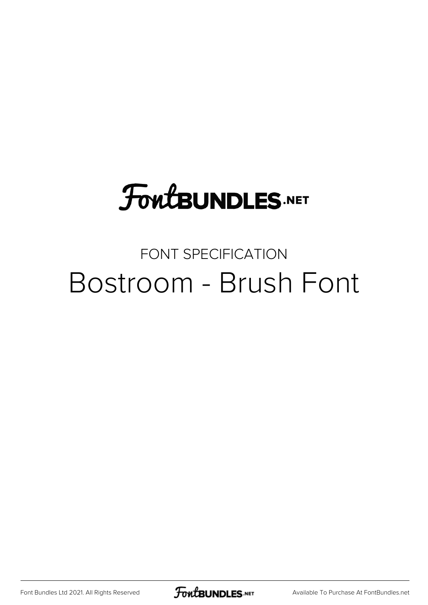## **FoutBUNDLES.NET**

## FONT SPECIFICATION Bostroom - Brush Font

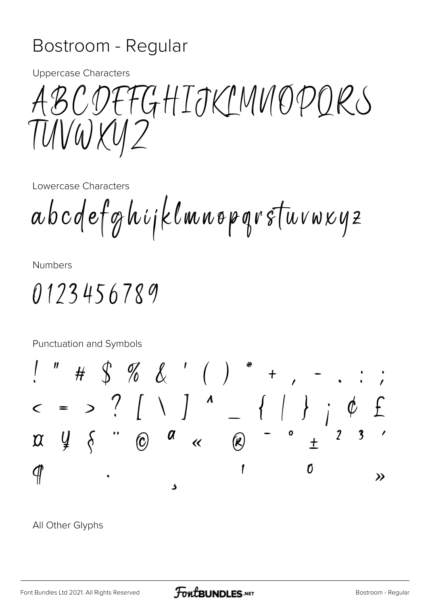## Bostroom - Regular

**Uppercase Characters** 

ABCDEFGHIJKIMNOPORS TUVWXU2

Lowercase Characters

abcdefghijklmnopgrstuvwxyz

**Numbers** 

 $0123456789$ 

Punctuation and Symbols

All Other Glyphs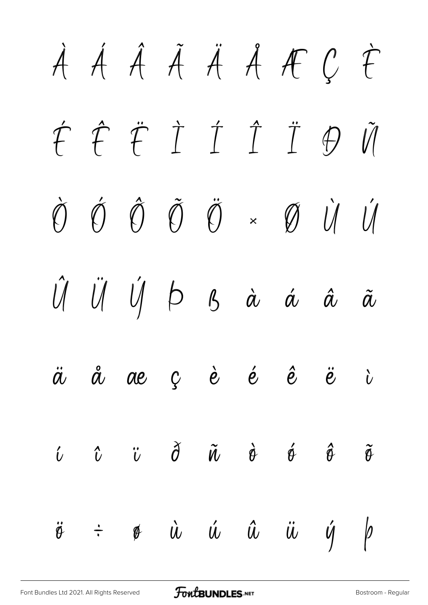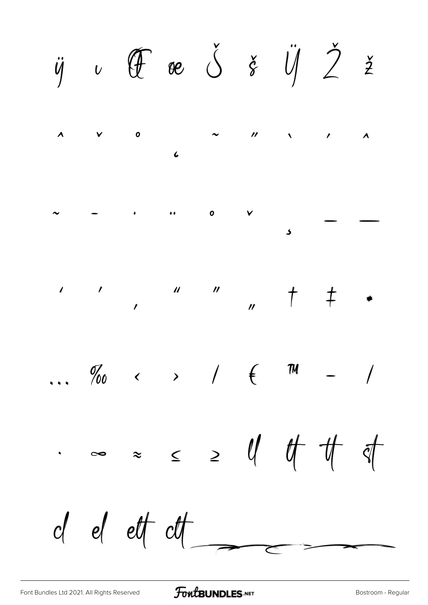$\ddot{y}$   $\upsilon$   $\acute{\theta}$   $\theta$   $\acute{\theta}$   $\acute{\theta}$   $\frac{\gamma}{\delta}$   $\frac{\gamma}{\delta}$   $\frac{\gamma}{\delta}$   $\frac{\gamma}{\delta}$   $\frac{\gamma}{\delta}$  $\overline{\mathbf{0}}$  $\mathbf{u}$  $\lambda$  $\mathbf{v}$  $\overline{\mathbf{A}}$  $\overline{a}$  $\overline{\mathbf{0}}$  $\mathcal{H}(\mathcal{C})$  .  $\checkmark$  $\ldots$  %  $\qquad \qquad \times$  /  $\in$  TM  $\sim$   $\approx$   $\sim$   $\sim$   $\frac{1}{2}$  of  $\frac{1}{2}$  of  $\frac{1}{2}$  $d$  et  $dt$